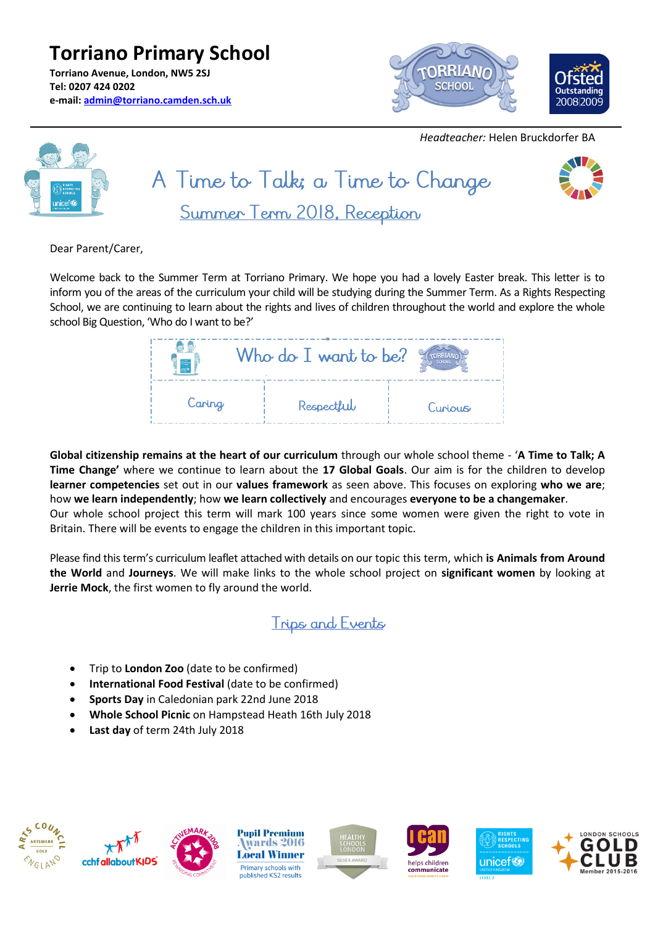**Torriano Primary School Torriano Avenue, London, NW5 2SJ Tel: 0207 424 0202 e-mail: [admin@torriano.camden.sch.uk](mailto:admin@torriano.camden.sch.uk)**



 *Headteacher:* Helen Bruckdorfer BA



Dear Parent/Carer,

Welcome back to the Summer Term at Torriano Primary. We hope you had a lovely Easter break. This letter is to inform you of the areas of the curriculum your child will be studying during the Summer Term. As a Rights Respecting School, we are continuing to learn about the rights and lives of children throughout the world and explore the whole school Big Question, 'Who do I want to be?'

|        | Who do $I$ want to be? |         |
|--------|------------------------|---------|
| Caring | Respectful             | Curious |

**Global citizenship remains at the heart of our curriculum** through our whole school theme - '**A Time to Talk; A Time Change'** where we continue to learn about the **17 Global Goals**. Our aim is for the children to develop **learner competencies** set out in our **values framework** as seen above. This focuses on exploring **who we are**; how **we learn independently**; how **we learn collectively** and encourages **everyone to be a changemaker**. Our whole school project this term will mark 100 years since some women were given the right to vote in Britain. There will be events to engage the children in this important topic.

Please find this term's curriculum leaflet attached with details on our topic this term, which **is Animals from Around the World** and **Journeys**. We will make links to the whole school project on **significant women** by looking at **Jerrie Mock**, the first women to fly around the world.

### Trips and Events

- Trip to **London Zoo** (date to be confirmed)
- **International Food Festival** (date to be confirmed)
- **Sports Day** in Caledonian park 22nd June 2018
- **Whole School Picnic** on Hampstead Heath 16th July 2018
- **Last day** of term 24th July 2018













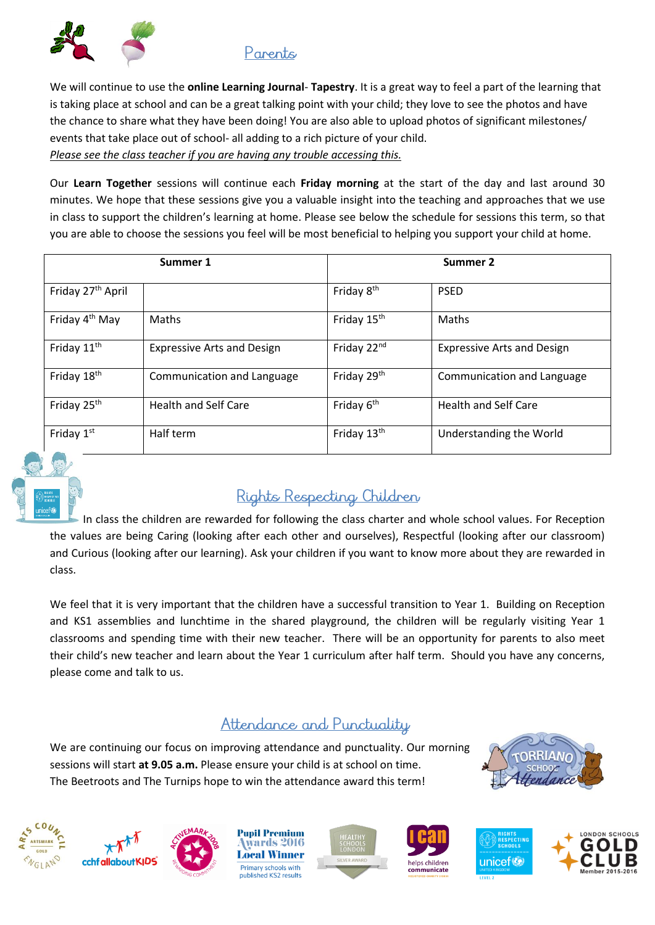

We will continue to use the **online Learning Journal**- **Tapestry**. It is a great way to feel a part of the learning that is taking place at school and can be a great talking point with your child; they love to see the photos and have the chance to share what they have been doing! You are also able to upload photos of significant milestones/ events that take place out of school- all adding to a rich picture of your child. *Please see the class teacher if you are having any trouble accessing this.*

Our **Learn Together** sessions will continue each **Friday morning** at the start of the day and last around 30 minutes. We hope that these sessions give you a valuable insight into the teaching and approaches that we use in class to support the children's learning at home. Please see below the schedule for sessions this term, so that you are able to choose the sessions you feel will be most beneficial to helping you support your child at home.

| Summer 1                      |                                   |                         | Summer 2                          |  |
|-------------------------------|-----------------------------------|-------------------------|-----------------------------------|--|
| Friday 27 <sup>th</sup> April |                                   | Friday 8 <sup>th</sup>  | <b>PSED</b>                       |  |
| Friday 4 <sup>th</sup> May    | <b>Maths</b>                      | Friday 15 <sup>th</sup> | Maths                             |  |
| Friday 11 <sup>th</sup>       | <b>Expressive Arts and Design</b> | Friday 22nd             | <b>Expressive Arts and Design</b> |  |
| Friday 18 <sup>th</sup>       | Communication and Language        | Friday 29 <sup>th</sup> | Communication and Language        |  |
| Friday 25 <sup>th</sup>       | <b>Health and Self Care</b>       | Friday 6 <sup>th</sup>  | <b>Health and Self Care</b>       |  |
| Friday $1st$                  | Half term                         | Friday 13 <sup>th</sup> | Understanding the World           |  |



# Rights Respecting Children

 In class the children are rewarded for following the class charter and whole school values. For Reception the values are being Caring (looking after each other and ourselves), Respectful (looking after our classroom) and Curious (looking after our learning). Ask your children if you want to know more about they are rewarded in class.

We feel that it is very important that the children have a successful transition to Year 1. Building on Reception and KS1 assemblies and lunchtime in the shared playground, the children will be regularly visiting Year 1 classrooms and spending time with their new teacher. There will be an opportunity for parents to also meet their child's new teacher and learn about the Year 1 curriculum after half term. Should you have any concerns, please come and talk to us.

### Attendance and Punctuality

We are continuing our focus on improving attendance and punctuality. Our morning sessions will start **at 9.05 a.m.** Please ensure your child is at school on time. The Beetroots and The Turnips hope to win the attendance award this term!









**Pupil Premium** wards 2016 **Local Winner** Primary schools with ublished KS2 results







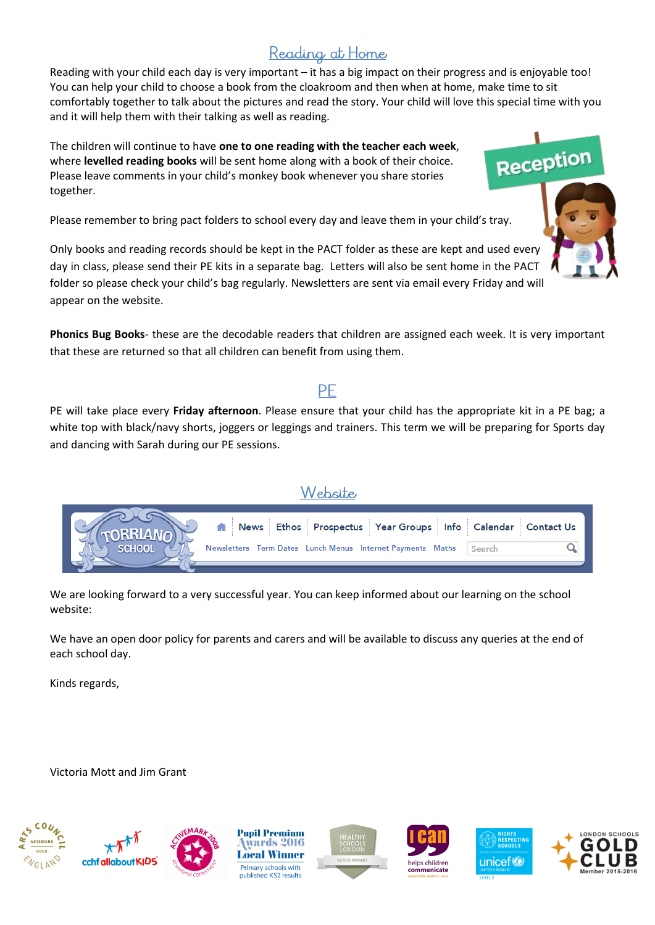## Reading at Home

Reading with your child each day is very important – it has a big impact on their progress and is enjoyable too! You can help your child to choose a book from the cloakroom and then when at home, make time to sit comfortably together to talk about the pictures and read the story. Your child will love this special time with you and it will help them with their talking as well as reading.

The children will continue to have **one to one reading with the teacher each week**, where **levelled reading books** will be sent home along with a book of their choice. Please leave comments in your child's monkey book whenever you share stories together.

Please remember to bring pact folders to school every day and leave them in your child's tray.

Only books and reading records should be kept in the PACT folder as these are kept and used every day in class, please send their PE kits in a separate bag. Letters will also be sent home in the PACT folder so please check your child's bag regularly. Newsletters are sent via email every Friday and will appear on the website.

**Phonics Bug Books**- these are the decodable readers that children are assigned each week. It is very important that these are returned so that all children can benefit from using them.

#### PF

PE will take place every **Friday afternoon**. Please ensure that your child has the appropriate kit in a PE bag; a white top with black/navy shorts, joggers or leggings and trainers. This term we will be preparing for Sports day and dancing with Sarah during our PE sessions.



We are looking forward to a very successful year. You can keep informed about our learning on the school website:

We have an open door policy for parents and carers and will be available to discuss any queries at the end of each school day.

Kinds regards,

Victoria Mott and Jim Grant